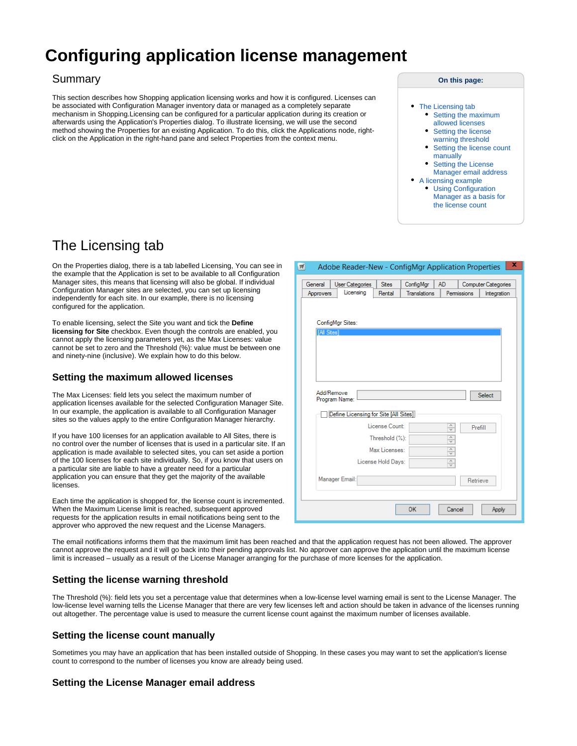# **Configuring application license management**

#### Summary

This section describes how Shopping application licensing works and how it is configured. Licenses can be associated with Configuration Manager inventory data or managed as a completely separate mechanism in Shopping.Licensing can be configured for a particular application during its creation or afterwards using the Application's Properties dialog. To illustrate licensing, we will use the second method showing the Properties for an existing Application. To do this, click the Applications node, rightclick on the Application in the right-hand pane and select Properties from the context menu.

#### **On this page:**

- [The Licensing tab](#page-0-0) • Setting the maximum [allowed licenses](#page-0-1)
	- Setting the license [warning threshold](#page-0-2)
	- Setting the license count [manually](#page-0-3)
	- [Setting the License](#page-0-4)
- [Manager email address](#page-0-4) [A licensing example](#page-1-0)
	- [Using Configuration](#page-1-1)  [Manager as a basis for](#page-1-1)  [the license count](#page-1-1)

## <span id="page-0-0"></span>The Licensing tab

On the Properties dialog, there is a tab labelled Licensing, You can see in the example that the Application is set to be available to all Configuration Manager sites, this means that licensing will also be global. If individual Configuration Manager sites are selected, you can set up licensing independently for each site. In our example, there is no licensing configured for the application.

To enable licensing, select the Site you want and tick the **Define licensing for Site** checkbox. Even though the controls are enabled, you cannot apply the licensing parameters yet, as the Max Licenses: value cannot be set to zero and the Threshold (%): value must be between one and ninety-nine (inclusive). We explain how to do this below.

#### <span id="page-0-1"></span>**Setting the maximum allowed licenses**

The Max Licenses: field lets you select the maximum number of application licenses available for the selected Configuration Manager Site. In our example, the application is available to all Configuration Manager sites so the values apply to the entire Configuration Manager hierarchy.

If you have 100 licenses for an application available to All Sites, there is no control over the number of licenses that is used in a particular site. If an application is made available to selected sites, you can set aside a portion of the 100 licenses for each site individually. So, if you know that users on a particular site are liable to have a greater need for a particular application you can ensure that they get the majority of the available licenses.

Each time the application is shopped for, the license count is incremented. When the Maximum License limit is reached, subsequent approved requests for the application results in email notifications being sent to the approver who approved the new request and the License Managers.

| x<br>$\mathbb{H}$<br>Adobe Reader-New - ConfigMgr Application Properties                                                                                                                    |
|---------------------------------------------------------------------------------------------------------------------------------------------------------------------------------------------|
| General<br><b>Sites</b><br><b>User Categories</b><br>ConfigMgr<br><b>AD</b><br><b>Computer Categories</b><br>Licensing<br>Rental<br>Translations<br>Permissions<br>Approvers<br>Integration |
| ConfigMgr Sites:                                                                                                                                                                            |
| [All Sites]                                                                                                                                                                                 |
|                                                                                                                                                                                             |
| Add/Remove<br>Select<br>Program Name:                                                                                                                                                       |
| Define Licensing for Site [All Sites]                                                                                                                                                       |
| License Count:<br>$\frac{1}{\sqrt{2}}$<br>Prefill                                                                                                                                           |
| Threshold (%):<br>۸<br>$\overline{\vee}$                                                                                                                                                    |
| Max Licenses:<br>۸<br>$\overline{\mathbf{v}}$                                                                                                                                               |
| License Hold Days:<br>$\frac{1}{\sqrt{2}}$                                                                                                                                                  |
| Manager Email:<br>Retrieve                                                                                                                                                                  |
| <b>OK</b><br>Cancel<br>Apply                                                                                                                                                                |

The email notifications informs them that the maximum limit has been reached and that the application request has not been allowed. The approver cannot approve the request and it will go back into their pending approvals list. No approver can approve the application until the maximum license limit is increased – usually as a result of the License Manager arranging for the purchase of more licenses for the application.

#### <span id="page-0-2"></span>**Setting the license warning threshold**

The Threshold (%): field lets you set a percentage value that determines when a low-license level warning email is sent to the License Manager. The low-license level warning tells the License Manager that there are very few licenses left and action should be taken in advance of the licenses running out altogether. The percentage value is used to measure the current license count against the maximum number of licenses available.

#### <span id="page-0-3"></span>**Setting the license count manually**

Sometimes you may have an application that has been installed outside of Shopping. In these cases you may want to set the application's license count to correspond to the number of licenses you know are already being used.

#### <span id="page-0-4"></span>**Setting the License Manager email address**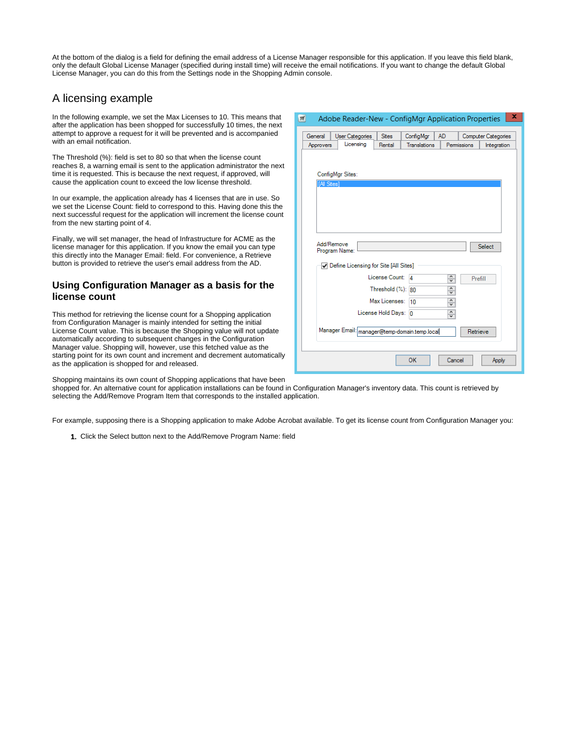At the bottom of the dialog is a field for defining the email address of a License Manager responsible for this application. If you leave this field blank, only the default Global License Manager (specified during install time) will receive the email notifications. If you want to change the default Global License Manager, you can do this from the Settings node in the Shopping Admin console.

 $\overline{\mathbf{w}}$ 

### <span id="page-1-0"></span>A licensing example

In the following example, we set the Max Licenses to 10. This means that after the application has been shopped for successfully 10 times, the next attempt to approve a request for it will be prevented and is accompanied with an email notification.

The Threshold (%): field is set to 80 so that when the license count reaches 8, a warning email is sent to the application administrator the next time it is requested. This is because the next request, if approved, will cause the application count to exceed the low license threshold.

In our example, the application already has 4 licenses that are in use. So we set the License Count: field to correspond to this. Having done this the next successful request for the application will increment the license count from the new starting point of 4.

Finally, we will set manager, the head of Infrastructure for ACME as the license manager for this application. If you know the email you can type this directly into the Manager Email: field. For convenience, a Retrieve button is provided to retrieve the user's email address from the AD.

#### <span id="page-1-1"></span>**Using Configuration Manager as a basis for the license count**

This method for retrieving the license count for a Shopping application from Configuration Manager is mainly intended for setting the initial License Count value. This is because the Shopping value will not update automatically according to subsequent changes in the Configuration Manager value. Shopping will, however, use this fetched value as the starting point for its own count and increment and decrement automatically as the application is shopped for and released.

| General     | <b>User Categories</b>                          | <b>Sites</b>          | ConfigMgr    | AD.                                            |             | <b>Computer Categories</b> |
|-------------|-------------------------------------------------|-----------------------|--------------|------------------------------------------------|-------------|----------------------------|
| Approvers   | Licensing                                       | Rental                | Translations |                                                | Permissions | Integration                |
| [All Sites] | ConfigMgr Sites:<br>Add/Remove<br>Program Name: |                       |              |                                                |             | Select                     |
|             | Define Licensing for Site [All Sites]           |                       |              |                                                |             |                            |
|             |                                                 | License Count: 4      |              | $\frac{1}{\sqrt{2}}$                           | Prefill     |                            |
|             |                                                 | Threshold $(\%)$ : 80 |              | $\hat{\phantom{a}}$<br>v                       |             |                            |
|             |                                                 | Max Licenses:         | 10           | $\frac{1}{\sqrt{2}}$                           |             |                            |
|             |                                                 | License Hold Days: 0  |              | $\hat{\phantom{a}}$<br>$\overline{\mathbf{v}}$ |             |                            |
|             | Manager Email: manager@temp-domain.temp.local   |                       |              |                                                | Retrieve    |                            |
|             |                                                 |                       | <b>OK</b>    | Cancel                                         |             | Apply                      |

Adobe Reader-New - ConfigMar Application Properties  $\| \mathbf{x} \|$ 

Shopping maintains its own count of Shopping applications that have been

shopped for. An alternative count for application installations can be found in Configuration Manager's inventory data. This count is retrieved by selecting the Add/Remove Program Item that corresponds to the installed application.

For example, supposing there is a Shopping application to make Adobe Acrobat available. To get its license count from Configuration Manager you:

1. Click the Select button next to the Add/Remove Program Name: field